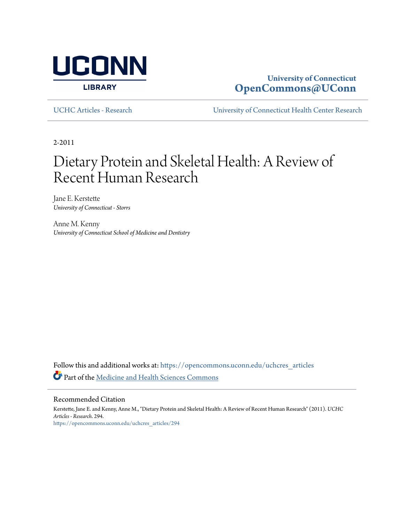

# **University of Connecticut [OpenCommons@UConn](https://opencommons.uconn.edu?utm_source=opencommons.uconn.edu%2Fuchcres_articles%2F294&utm_medium=PDF&utm_campaign=PDFCoverPages)**

[UCHC Articles - Research](https://opencommons.uconn.edu/uchcres_articles?utm_source=opencommons.uconn.edu%2Fuchcres_articles%2F294&utm_medium=PDF&utm_campaign=PDFCoverPages) [University of Connecticut Health Center Research](https://opencommons.uconn.edu/uchcres?utm_source=opencommons.uconn.edu%2Fuchcres_articles%2F294&utm_medium=PDF&utm_campaign=PDFCoverPages)

2-2011

# Dietary Protein and Skeletal Health: A Review of Recent Human Research

Jane E. Kerstette *University of Connecticut - Storrs*

Anne M. Kenny *University of Connecticut School of Medicine and Dentistry*

Follow this and additional works at: [https://opencommons.uconn.edu/uchcres\\_articles](https://opencommons.uconn.edu/uchcres_articles?utm_source=opencommons.uconn.edu%2Fuchcres_articles%2F294&utm_medium=PDF&utm_campaign=PDFCoverPages) Part of the [Medicine and Health Sciences Commons](http://network.bepress.com/hgg/discipline/648?utm_source=opencommons.uconn.edu%2Fuchcres_articles%2F294&utm_medium=PDF&utm_campaign=PDFCoverPages)

Recommended Citation

Kerstette, Jane E. and Kenny, Anne M., "Dietary Protein and Skeletal Health: A Review of Recent Human Research" (2011). *UCHC Articles - Research*. 294. [https://opencommons.uconn.edu/uchcres\\_articles/294](https://opencommons.uconn.edu/uchcres_articles/294?utm_source=opencommons.uconn.edu%2Fuchcres_articles%2F294&utm_medium=PDF&utm_campaign=PDFCoverPages)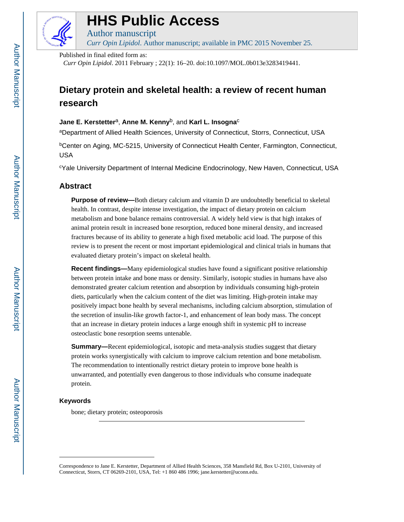

# **HHS Public Access**

Author manuscript *Curr Opin Lipidol*. Author manuscript; available in PMC 2015 November 25.

Published in final edited form as:

*Curr Opin Lipidol*. 2011 February ; 22(1): 16–20. doi:10.1097/MOL.0b013e3283419441.

# **Dietary protein and skeletal health: a review of recent human research**

# **Jane E. Kerstetter**a, **Anne M. Kenny**b, and **Karl L. Insogna**<sup>c</sup>

aDepartment of Allied Health Sciences, University of Connecticut, Storrs, Connecticut, USA

<sup>b</sup>Center on Aging, MC-5215, University of Connecticut Health Center, Farmington, Connecticut, USA

<sup>c</sup>Yale University Department of Internal Medicine Endocrinology, New Haven, Connecticut, USA

# **Abstract**

**Purpose of review—**Both dietary calcium and vitamin D are undoubtedly beneficial to skeletal health. In contrast, despite intense investigation, the impact of dietary protein on calcium metabolism and bone balance remains controversial. A widely held view is that high intakes of animal protein result in increased bone resorption, reduced bone mineral density, and increased fractures because of its ability to generate a high fixed metabolic acid load. The purpose of this review is to present the recent or most important epidemiological and clinical trials in humans that evaluated dietary protein's impact on skeletal health.

**Recent findings—**Many epidemiological studies have found a significant positive relationship between protein intake and bone mass or density. Similarly, isotopic studies in humans have also demonstrated greater calcium retention and absorption by individuals consuming high-protein diets, particularly when the calcium content of the diet was limiting. High-protein intake may positively impact bone health by several mechanisms, including calcium absorption, stimulation of the secretion of insulin-like growth factor-1, and enhancement of lean body mass. The concept that an increase in dietary protein induces a large enough shift in systemic pH to increase osteoclastic bone resorption seems untenable.

**Summary—**Recent epidemiological, isotopic and meta-analysis studies suggest that dietary protein works synergistically with calcium to improve calcium retention and bone metabolism. The recommendation to intentionally restrict dietary protein to improve bone health is unwarranted, and potentially even dangerous to those individuals who consume inadequate protein.

# **Keywords**

bone; dietary protein; osteoporosis

Correspondence to Jane E. Kerstetter, Department of Allied Health Sciences, 358 Mansfield Rd, Box U-2101, University of Connecticut, Storrs, CT 06269-2101, USA, Tel: +1 860 486 1996; jane.kerstetter@uconn.edu.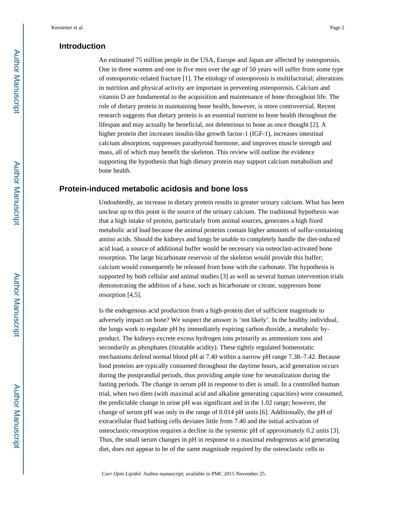#### **Introduction**

An estimated 75 million people in the USA, Europe and Japan are affected by osteoporosis. One in three women and one in five men over the age of 50 years will suffer from some type of osteoporotic-related fracture [1]. The etiology of osteoporosis is multifactorial; alterations in nutrition and physical activity are important in preventing osteoporosis. Calcium and vitamin D are fundamental to the acquisition and maintenance of bone throughout life. The role of dietary protein in maintaining bone health, however, is more controversial. Recent research suggests that dietary protein is an essential nutrient to bone health throughout the lifespan and may actually be beneficial, not deleterious to bone as once thought [2]. A higher protein diet increases insulin-like growth factor-1 (IGF-1), increases intestinal calcium absorption, suppresses parathyroid hormone, and improves muscle strength and mass, all of which may benefit the skeleton. This review will outline the evidence supporting the hypothesis that high dietary protein may support calcium metabolism and bone health.

## **Protein-induced metabolic acidosis and bone loss**

Undoubtedly, an increase in dietary protein results in greater urinary calcium. What has been unclear up to this point is the source of the urinary calcium. The traditional hypothesis was that a high intake of protein, particularly from animal sources, generates a high fixed metabolic acid load because the animal proteins contain higher amounts of sulfur-containing amino acids. Should the kidneys and lungs be unable to completely handle the diet-induced acid load, a source of additional buffer would be necessary via osteoclast-activated bone resorption. The large bicarbonate reservoir of the skeleton would provide this buffer; calcium would consequently be released from bone with the carbonate. The hypothesis is supported by both cellular and animal studies [3] as well as several human intervention trials demonstrating the addition of a base, such as bicarbonate or citrate, suppresses bone resorption [4,5].

Is the endogenous acid production from a high-protein diet of sufficient magnitude to adversely impact on bone? We suspect the answer is 'not likely'. In the healthy individual, the lungs work to regulate pH by immediately expiring carbon dioxide, a metabolic byproduct. The kidneys excrete excess hydrogen ions primarily as ammonium ions and secondarily as phosphates (titratable acidity). These tightly regulated homeostatic mechanisms defend normal blood pH at 7.40 within a narrow pH range 7.38–7.42. Because food proteins are typically consumed throughout the daytime hours, acid generation occurs during the postprandial periods, thus providing ample time for neutralization during the fasting periods. The change in serum pH in response to diet is small. In a controlled human trial, when two diets (with maximal acid and alkaline generating capacities) were consumed, the predictable change in urine pH was significant and in the 1.02 range; however, the change of serum pH was only in the range of 0.014 pH units [6]. Additionally, the pH of extracellular fluid bathing cells deviates little from 7.40 and the initial activation of osteoclastic-resorption requires a decline in the systemic pH of approximately 0.2 units [3]. Thus, the small serum changes in pH in response to a maximal endogenous acid generating diet, does not appear to be of the same magnitude required by the osteoclastic cells to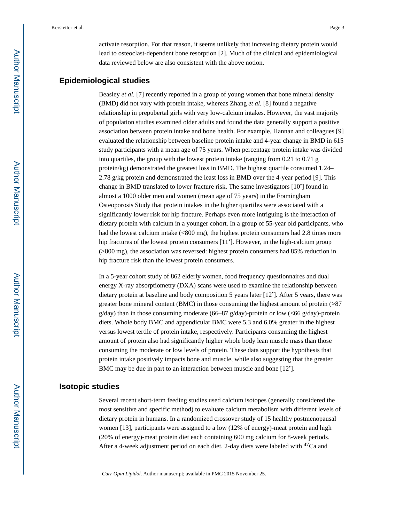activate resorption. For that reason, it seems unlikely that increasing dietary protein would lead to osteoclast-dependent bone resorption [2]. Much of the clinical and epidemiological data reviewed below are also consistent with the above notion.

# **Epidemiological studies**

Beasley *et al.* [7] recently reported in a group of young women that bone mineral density (BMD) did not vary with protein intake, whereas Zhang *et al.* [8] found a negative relationship in prepubertal girls with very low-calcium intakes. However, the vast majority of population studies examined older adults and found the data generally support a positive association between protein intake and bone health. For example, Hannan and colleagues [9] evaluated the relationship between baseline protein intake and 4-year change in BMD in 615 study participants with a mean age of 75 years. When percentage protein intake was divided into quartiles, the group with the lowest protein intake (ranging from 0.21 to 0.71 g protein/kg) demonstrated the greatest loss in BMD. The highest quartile consumed 1.24– 2.78 g/kg protein and demonstrated the least loss in BMD over the 4-year period [9]. This change in BMD translated to lower fracture risk. The same investigators [10• ] found in almost a 1000 older men and women (mean age of 75 years) in the Framingham Osteoporosis Study that protein intakes in the higher quartiles were associated with a significantly lower risk for hip fracture. Perhaps even more intriguing is the interaction of dietary protein with calcium in a younger cohort. In a group of 55-year old participants, who had the lowest calcium intake  $( $800 \text{ mg}$ ),$  the highest protein consumers had 2.8 times more hip fractures of the lowest protein consumers [11• ]. However, in the high-calcium group (>800 mg), the association was reversed: highest protein consumers had 85% reduction in hip fracture risk than the lowest protein consumers.

In a 5-year cohort study of 862 elderly women, food frequency questionnaires and dual energy X-ray absorptiometry (DXA) scans were used to examine the relationship between dietary protein at baseline and body composition 5 years later [12• ]. After 5 years, there was greater bone mineral content (BMC) in those consuming the highest amount of protein (>87  $g/day$ ) than in those consuming moderate (66–87 g/day)-protein or low (<66 g/day)-protein diets. Whole body BMC and appendicular BMC were 5.3 and 6.0% greater in the highest versus lowest tertile of protein intake, respectively. Participants consuming the highest amount of protein also had significantly higher whole body lean muscle mass than those consuming the moderate or low levels of protein. These data support the hypothesis that protein intake positively impacts bone and muscle, while also suggesting that the greater BMC may be due in part to an interaction between muscle and bone [12• ].

## **Isotopic studies**

Several recent short-term feeding studies used calcium isotopes (generally considered the most sensitive and specific method) to evaluate calcium metabolism with different levels of dietary protein in humans. In a randomized crossover study of 15 healthy postmenopausal women [13], participants were assigned to a low (12% of energy)-meat protein and high (20% of energy)-meat protein diet each containing 600 mg calcium for 8-week periods. After a 4-week adjustment period on each diet, 2-day diets were labeled with  $^{47}Ca$  and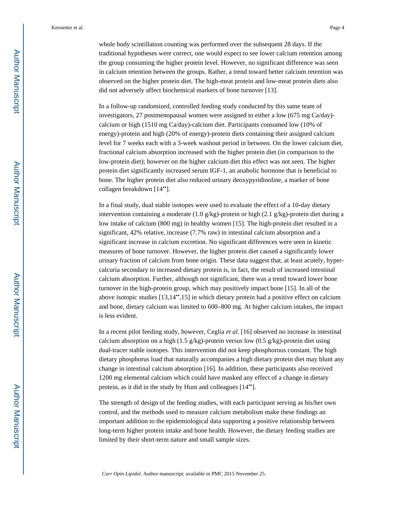Kerstetter et al. Page 4

whole body scintillation counting was performed over the subsequent 28 days. If the traditional hypotheses were correct, one would expect to see lower calcium retention among the group consuming the higher protein level. However, no significant difference was seen in calcium retention between the groups. Rather, a trend toward better calcium retention was observed on the higher protein diet. The high-meat protein and low-meat protein diets also did not adversely affect biochemical markers of bone turnover [13].

In a follow-up randomized, controlled feeding study conducted by this same team of investigators, 27 postmenopausal women were assigned to either a low (675 mg Ca/day) calcium or high (1510 mg Ca/day)-calcium diet. Participants consumed low (10% of energy)-protein and high (20% of energy)-protein diets containing their assigned calcium level for 7 weeks each with a 3-week washout period in between. On the lower calcium diet, fractional calcium absorption increased with the higher protein diet (in comparison to the low-protein diet); however on the higher calcium diet this effect was not seen. The higher protein diet significantly increased serum IGF-1, an anabolic hormone that is beneficial to bone. The higher protein diet also reduced urinary deoxypyridinoline, a marker of bone collagen breakdown [14••].

In a final study, dual stable isotopes were used to evaluate the effect of a 10-day dietary intervention containing a moderate (1.0 g/kg)-protein or high (2.1 g/kg)-protein diet during a low intake of calcium (800 mg) in healthy women [15]. The high-protein diet resulted in a significant, 42% relative, increase (7.7% raw) in intestinal calcium absorption and a significant increase in calcium excretion. No significant differences were seen in kinetic measures of bone turnover. However, the higher protein diet caused a significantly lower urinary fraction of calcium from bone origin. These data suggest that, at least acutely, hypercalcuria secondary to increased dietary protein is, in fact, the result of increased intestinal calcium absorption. Further, although not significant, there was a trend toward lower bone turnover in the high-protein group, which may positively impact bone [15]. In all of the above isotopic studies [13,14",15] in which dietary protein had a positive effect on calcium and bone, dietary calcium was limited to 600–800 mg. At higher calcium intakes, the impact is less evident.

In a recent pilot feeding study, however, Ceglia *et al.* [16] observed no increase in intestinal calcium absorption on a high (1.5 g/kg)-protein versus low (0.5 g/kg)-protein diet using dual-tracer stable isotopes. This intervention did not keep phosphorous constant. The high dietary phosphorus load that naturally accompanies a high dietary protein diet may blunt any change in intestinal calcium absorption [16]. In addition, these participants also received 1200 mg elemental calcium which could have masked any effect of a change in dietary protein, as it did in the study by Hunt and colleagues [14••].

The strength of design of the feeding studies, with each participant serving as his/her own control, and the methods used to measure calcium metabolism make these findings an important addition to the epidemiological data supporting a positive relationship between long-term higher protein intake and bone health. However, the dietary feeding studies are limited by their short-term nature and small sample sizes.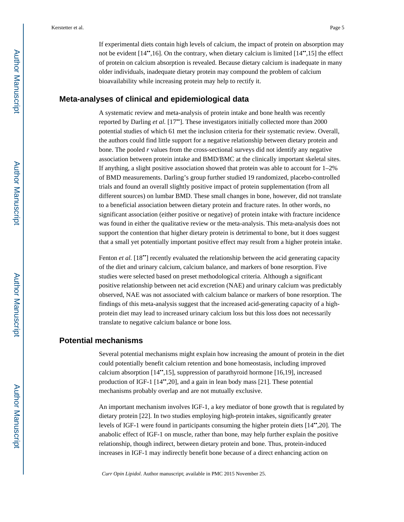If experimental diets contain high levels of calcium, the impact of protein on absorption may not be evident [14",16]. On the contrary, when dietary calcium is limited [14",15] the effect of protein on calcium absorption is revealed. Because dietary calcium is inadequate in many older individuals, inadequate dietary protein may compound the problem of calcium bioavailability while increasing protein may help to rectify it.

### **Meta-analyses of clinical and epidemiological data**

A systematic review and meta-analysis of protein intake and bone health was recently reported by Darling *et al.* [17••]. These investigators initially collected more than 2000 potential studies of which 61 met the inclusion criteria for their systematic review. Overall, the authors could find little support for a negative relationship between dietary protein and bone. The pooled *r* values from the cross-sectional surveys did not identify any negative association between protein intake and BMD/BMC at the clinically important skeletal sites. If anything, a slight positive association showed that protein was able to account for  $1-2\%$ of BMD measurements. Darling's group further studied 19 randomized, placebo-controlled trials and found an overall slightly positive impact of protein supplementation (from all different sources) on lumbar BMD. These small changes in bone, however, did not translate to a beneficial association between dietary protein and fracture rates. In other words, no significant association (either positive or negative) of protein intake with fracture incidence was found in either the qualitative review or the meta-analysis. This meta-analysis does not support the contention that higher dietary protein is detrimental to bone, but it does suggest that a small yet potentially important positive effect may result from a higher protein intake.

Fenton *et al.* [18<sup>\*</sup>] recently evaluated the relationship between the acid generating capacity of the diet and urinary calcium, calcium balance, and markers of bone resorption. Five studies were selected based on preset methodological criteria. Although a significant positive relationship between net acid excretion (NAE) and urinary calcium was predictably observed, NAE was not associated with calcium balance or markers of bone resorption. The findings of this meta-analysis suggest that the increased acid-generating capacity of a highprotein diet may lead to increased urinary calcium loss but this loss does not necessarily translate to negative calcium balance or bone loss.

#### **Potential mechanisms**

Several potential mechanisms might explain how increasing the amount of protein in the diet could potentially benefit calcium retention and bone homeostasis, including improved calcium absorption [14•• ,15], suppression of parathyroid hormone [16,19], increased production of IGF-1 [14",20], and a gain in lean body mass [21]. These potential mechanisms probably overlap and are not mutually exclusive.

An important mechanism involves IGF-1, a key mediator of bone growth that is regulated by dietary protein [22]. In two studies employing high-protein intakes, significantly greater levels of IGF-1 were found in participants consuming the higher protein diets [14•• ,20]. The anabolic effect of IGF-1 on muscle, rather than bone, may help further explain the positive relationship, though indirect, between dietary protein and bone. Thus, protein-induced increases in IGF-1 may indirectly benefit bone because of a direct enhancing action on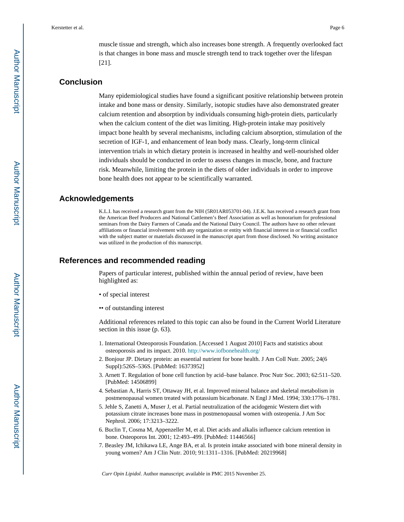muscle tissue and strength, which also increases bone strength. A frequently overlooked fact is that changes in bone mass and muscle strength tend to track together over the lifespan [21].

## **Conclusion**

Many epidemiological studies have found a significant positive relationship between protein intake and bone mass or density. Similarly, isotopic studies have also demonstrated greater calcium retention and absorption by individuals consuming high-protein diets, particularly when the calcium content of the diet was limiting. High-protein intake may positively impact bone health by several mechanisms, including calcium absorption, stimulation of the secretion of IGF-1, and enhancement of lean body mass. Clearly, long-term clinical intervention trials in which dietary protein is increased in healthy and well-nourished older individuals should be conducted in order to assess changes in muscle, bone, and fracture risk. Meanwhile, limiting the protein in the diets of older individuals in order to improve bone health does not appear to be scientifically warranted.

## **Acknowledgements**

K.L.I. has received a research grant from the NIH (5R01AR053701-04). J.E.K. has received a research grant from the American Beef Producers and National Cattlemen's Beef Association as well as honorarium for professional seminars from the Dairy Farmers of Canada and the National Dairy Council. The authors have no other relevant affiliations or financial involvement with any organization or entity with financial interest in or financial conflict with the subject matter or materials discussed in the manuscript apart from those disclosed. No writing assistance was utilized in the production of this manuscript.

## **References and recommended reading**

Papers of particular interest, published within the annual period of review, have been highlighted as:

- of special interest
- •• of outstanding interest

Additional references related to this topic can also be found in the Current World Literature section in this issue (p. 63).

- 1. International Osteoporosis Foundation. [Accessed 1 August 2010] Facts and statistics about osteoporosis and its impact. 2010. <http://www.iofbonehealth.org/>
- 2. Bonjour JP. Dietary protein: an essential nutrient for bone health. J Am Coll Nutr. 2005; 24(6 Suppl):526S–536S. [PubMed: 16373952]
- 3. Arnett T. Regulation of bone cell function by acid–base balance. Proc Nutr Soc. 2003; 62:511–520. [PubMed: 14506899]
- 4. Sebastian A, Harris ST, Ottaway JH, et al. Improved mineral balance and skeletal metabolism in postmenopausal women treated with potassium bicarbonate. N Engl J Med. 1994; 330:1776–1781.
- 5. Jehle S, Zanetti A, Muser J, et al. Partial neutralization of the acidogenic Western diet with potassium citrate increases bone mass in postmenopausal women with osteopenia. J Am Soc Nephrol. 2006; 17:3213–3222.
- 6. Buclin T, Cosma M, Appenzeller M, et al. Diet acids and alkalis influence calcium retention in bone. Osteoporos Int. 2001; 12:493–499. [PubMed: 11446566]
- 7. Beasley JM, Ichikawa LE, Ange BA, et al. Is protein intake associated with bone mineral density in young women? Am J Clin Nutr. 2010; 91:1311–1316. [PubMed: 20219968]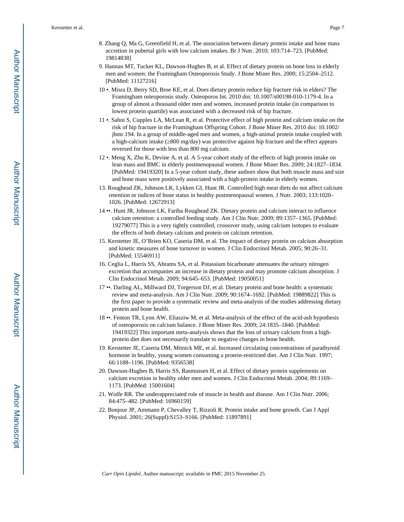- 8. Zhang Q, Ma G, Greenfield H, et al. The association between dietary protein intake and bone mass accretion in pubertal girls with low calcium intakes. Br J Nutr. 2010; 103:714–723. [PubMed: 19814838]
- 9. Hannan MT, Tucker KL, Dawson-Hughes B, et al. Effect of dietary protein on bone loss in elderly men and women: the Framingham Osteoporosis Study. J Bone Miner Res. 2000; 15:2504–2512. [PubMed: 11127216]
- 10 •. Misra D, Berry SD, Broe KE, et al. Does dietary protein reduce hip fracture risk in elders? The Framingham osteoporosis study. Osteoporos Int. 2010 doi: 10.1007/s00198-010-1179-4. In a group of almost a thousand older men and women, increased protein intake (in comparison to lowest protein quartile) was associated with a decreased risk of hip fracture.
- 11 •. Sahni S, Cupples LA, McLean R, et al. Protective effect of high protein and calcium intake on the risk of hip fracture in the Framingham Offspring Cohort. J Bone Miner Res. 2010 doi: 10.1002/ jbmr.194. In a group of middle-aged men and women, a high-animal protein intake coupled with a high-calcium intake (  $800$  mg/day) was protective against hip fracture and the effect appears reversed for those with less than 800 mg calcium.
- 12 •. Meng X, Zhu K, Devine A, et al. A 5-year cohort study of the effects of high protein intake on lean mass and BMC in elderly postmenopausal women. J Bone Miner Res. 2009; 24:1827–1834. [PubMed: 19419320] In a 5-year cohort study, these authors show that both muscle mass and size and bone mass were positively associated with a high-protein intake in elderly women.
- 13. Roughead ZK, Johnson LK, Lykken GI, Hunt JR. Controlled high meat diets do not affect calcium retention or indices of bone status in healthy postmenopausal women. J Nutr. 2003; 133:1020– 1026. [PubMed: 12672913]
- 14 ••. Hunt JR, Johnson LK, Fariba Roughead ZK. Dietary protein and calcium interact to influence calcium retention: a controlled feeding study. Am J Clin Nutr. 2009; 89:1357–1365. [PubMed: 19279077] This is a very tightly controlled, crossover study, using calcium isotopes to evaluate the effects of both dietary calcium and protein on calcium retention.
- 15. Kerstetter JE, O'Brien KO, Caseria DM, et al. The impact of dietary protein on calcium absorption and kinetic measures of bone turnover in women. J Clin Endocrinol Metab. 2005; 90:26–31. [PubMed: 15546911]
- 16. Ceglia L, Harris SS, Abrams SA, et al. Potassium bicarbonate attenuates the urinary nitrogen excretion that accompanies an increase in dietary protein and may promote calcium absorption. J Clin Endocrinol Metab. 2009; 94:645–653. [PubMed: 19050051]
- 17 ••. Darling AL, Millward DJ, Torgerson DJ, et al. Dietary protein and bone health: a systematic review and meta-analysis. Am J Clin Nutr. 2009; 90:1674–1692. [PubMed: 19889822] This is the first paper to provide a systematic review and meta-analysis of the studies addressing dietary protein and bone health.
- 18 ••. Fenton TR, Lyon AW, Eliasziw M, et al. Meta-analysis of the effect of the acid-ash hypothesis of osteoporosis on calcium balance. J Bone Miner Res. 2009; 24:1835–1840. [PubMed: 19419322] This important meta-analysis shows that the loss of urinary calcium from a highprotein diet does not necessarily translate to negative changes in bone health.
- 19. Kerstetter JE, Caseria DM, Mitnick ME, et al. Increased circulating concentrations of parathyroid hormone in healthy, young women consuming a protein-restricted diet. Am J Clin Nutr. 1997; 66:1188–1196. [PubMed: 9356538]
- 20. Dawson-Hughes B, Harris SS, Rasmussen H, et al. Effect of dietary protein supplements on calcium excretion in healthy older men and women. J Clin Endocrinol Metab. 2004; 89:1169– 1173. [PubMed: 15001604]
- 21. Wolfe RR. The underappreciated role of muscle in health and disease. Am J Clin Nutr. 2006; 84:475–482. [PubMed: 16960159]
- 22. Bonjour JP, Ammann P, Chevalley T, Rizzoli R. Protein intake and bone growth. Can J Appl Physiol. 2001; 26(Suppl):S153–S166. [PubMed: 11897891]